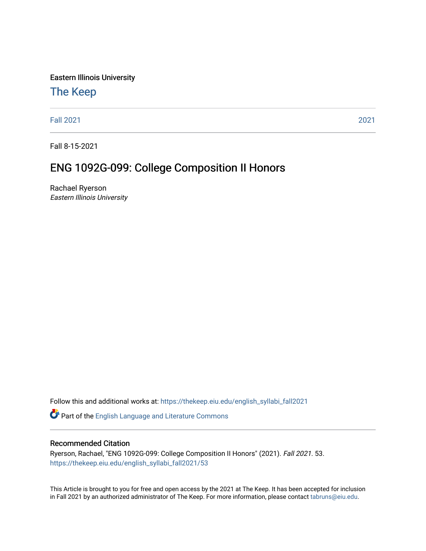Eastern Illinois University

# [The Keep](https://thekeep.eiu.edu/)

[Fall 2021](https://thekeep.eiu.edu/english_syllabi_fall2021) [2021](https://thekeep.eiu.edu/english_syllabi2021) 

Fall 8-15-2021

# ENG 1092G-099: College Composition II Honors

Rachael Ryerson Eastern Illinois University

Follow this and additional works at: [https://thekeep.eiu.edu/english\\_syllabi\\_fall2021](https://thekeep.eiu.edu/english_syllabi_fall2021?utm_source=thekeep.eiu.edu%2Fenglish_syllabi_fall2021%2F53&utm_medium=PDF&utm_campaign=PDFCoverPages) 

Part of the [English Language and Literature Commons](http://network.bepress.com/hgg/discipline/455?utm_source=thekeep.eiu.edu%2Fenglish_syllabi_fall2021%2F53&utm_medium=PDF&utm_campaign=PDFCoverPages)

#### Recommended Citation

Ryerson, Rachael, "ENG 1092G-099: College Composition II Honors" (2021). Fall 2021. 53. [https://thekeep.eiu.edu/english\\_syllabi\\_fall2021/53](https://thekeep.eiu.edu/english_syllabi_fall2021/53?utm_source=thekeep.eiu.edu%2Fenglish_syllabi_fall2021%2F53&utm_medium=PDF&utm_campaign=PDFCoverPages)

This Article is brought to you for free and open access by the 2021 at The Keep. It has been accepted for inclusion in Fall 2021 by an authorized administrator of The Keep. For more information, please contact [tabruns@eiu.edu](mailto:tabruns@eiu.edu).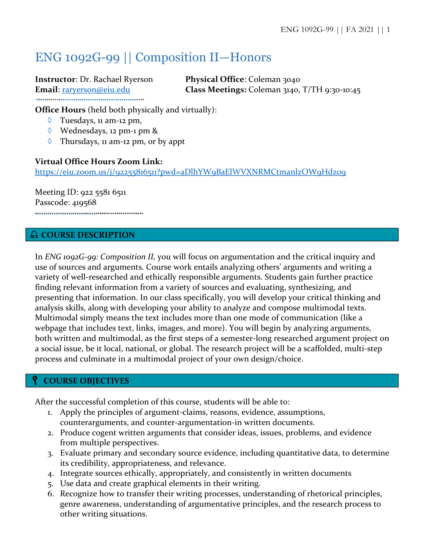# ENG 1092G-99 || Composition II—Honors

**Instructor**: Dr. Rachael Ryerson **Physical Office**: Coleman 3040 

**Email**: raryerson@eiu.edu **Class Meetings:** Coleman 3140, T/TH 9:30-10:45

**Office Hours** (held both physically and virtually):

- $\Diamond$  Tuesdays, 11 am-12 pm,
- à Wednesdays, 12 pm-1 pm &
- $\Diamond$  Thursdays, 11 am-12 pm, or by appt

# **Virtual Office Hours Zoom Link:**

https://eiu.zoom.us/j/92255816511?pwd=aDlhYW9BaElWVXNRMCtmanlzOW9Hdz09

Meeting ID: 922 5581 6511 Passcode: 419568 

# $\triangle$  **COURSE DESCRIPTION**

In *ENG 1092G-99: Composition II,* you will focus on argumentation and the critical inquiry and use of sources and arguments. Course work entails analyzing others' arguments and writing a variety of well-researched and ethically responsible arguments. Students gain further practice finding relevant information from a variety of sources and evaluating, synthesizing, and presenting that information. In our class specifically, you will develop your critical thinking and analysis skills, along with developing your ability to analyze and compose multimodal texts. Multimodal simply means the text includes more than one mode of communication (like a webpage that includes text, links, images, and more). You will begin by analyzing arguments, both written and multimodal, as the first steps of a semester-long researched argument project on a social issue, be it local, national, or global. The research project will be a scaffolded, multi-step process and culminate in a multimodal project of your own design/choice.

# L **COURSE OBJECTIVES**

After the successful completion of this course, students will be able to:

- 1. Apply the principles of argument-claims, reasons, evidence, assumptions, counterarguments, and counter-argumentation-in written documents.
- 2. Produce cogent written arguments that consider ideas, issues, problems, and evidence from multiple perspectives.
- 3. Evaluate primary and secondary source evidence, including quantitative data, to determine its credibility, appropriateness, and relevance.
- 4. Integrate sources ethically, appropriately, and consistently in written documents
- 5. Use data and create graphical elements in their writing.
- 6. Recognize how to transfer their writing processes, understanding of rhetorical principles, genre awareness, understanding of argumentative principles, and the research process to other writing situations.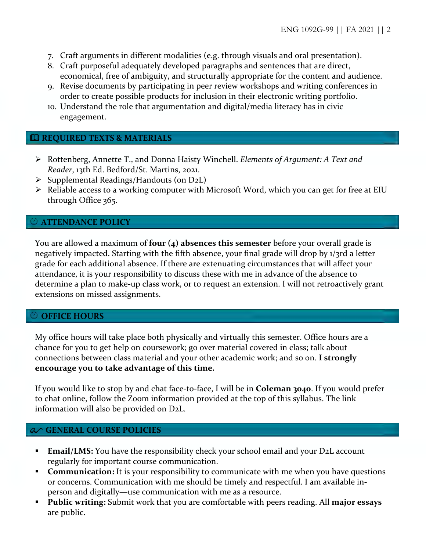- 7. Craft arguments in different modalities (e.g. through visuals and oral presentation).
- 8. Craft purposeful adequately developed paragraphs and sentences that are direct, economical, free of ambiguity, and structurally appropriate for the content and audience.
- 9. Revise documents by participating in peer review workshops and writing conferences in order to create possible products for inclusion in their electronic writing portfolio.
- 10. Understand the role that argumentation and digital/media literacy has in civic engagement.

# & **REQUIRED TEXTS & MATERIALS**

- Ø Rottenberg, Annette T., and Donna Haisty Winchell. *Elements of Argument: A Text and Reader*, 13th Ed. Bedford/St. Martins, 2021.
- Ø Supplemental Readings/Handouts (on D2L)
- Ø Reliable access to a working computer with Microsoft Word, which you can get for free at EIU through Office 365.

# **ATTENDANCE POLICY**

You are allowed a maximum of **four (4) absences this semester** before your overall grade is negatively impacted. Starting with the fifth absence, your final grade will drop by 1/3rd a letter grade for each additional absence. If there are extenuating circumstances that will affect your attendance, it is your responsibility to discuss these with me in advance of the absence to determine a plan to make-up class work, or to request an extension. I will not retroactively grant extensions on missed assignments.

# **OFFICE HOURS**

My office hours will take place both physically and virtually this semester. Office hours are a chance for you to get help on coursework; go over material covered in class; talk about connections between class material and your other academic work; and so on. **I strongly encourage you to take advantage of this time.** 

If you would like to stop by and chat face-to-face, I will be in **Coleman 3040**. If you would prefer to chat online, follow the Zoom information provided at the top of this syllabus. The link information will also be provided on D2L.

# \$ **GENERAL COURSE POLICIES**

- **Email/LMS:** You have the responsibility check your school email and your D2L account regularly for important course communication.
- **Communication:** It is your responsibility to communicate with me when you have questions or concerns. Communication with me should be timely and respectful. I am available inperson and digitally—use communication with me as a resource.
- § **Public writing:** Submit work that you are comfortable with peers reading. All **major essays** are public.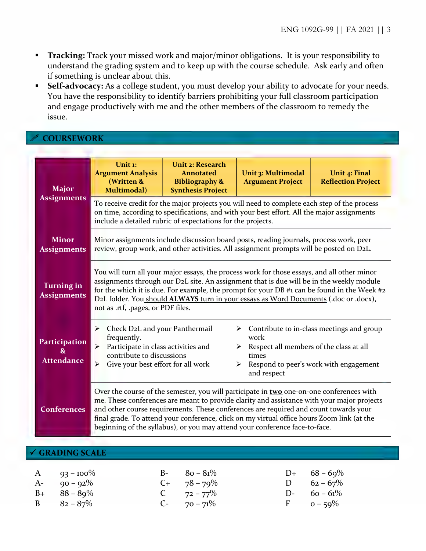- **Tracking:** Track your missed work and major/minor obligations. It is your responsibility to understand the grading system and to keep up with the course schedule. Ask early and often if something is unclear about this.
- **•** Self-advocacy: As a college student, you must develop your ability to advocate for your needs. You have the responsibility to identify barriers prohibiting your full classroom participation and engage productively with me and the other members of the classroom to remedy the issue.

# ! **COURSEWORK**

| Major                                     | Unit 1:<br><b>Argument Analysis</b><br>(Written &<br>Multimodal)                                                                                                                                                                                                                                                                                                                                                                                                   | <b>Unit 2: Research</b><br><b>Annotated</b><br><b>Bibliography &amp;</b><br><b>Synthesis Project</b> | Unit 3: Multimodal<br><b>Argument Project</b>                                     | Unit 4: Final<br><b>Reflection Project</b>                                          |  |
|-------------------------------------------|--------------------------------------------------------------------------------------------------------------------------------------------------------------------------------------------------------------------------------------------------------------------------------------------------------------------------------------------------------------------------------------------------------------------------------------------------------------------|------------------------------------------------------------------------------------------------------|-----------------------------------------------------------------------------------|-------------------------------------------------------------------------------------|--|
| <b>Assignments</b>                        | To receive credit for the major projects you will need to complete each step of the process<br>on time, according to specifications, and with your best effort. All the major assignments<br>include a detailed rubric of expectations for the projects.                                                                                                                                                                                                           |                                                                                                      |                                                                                   |                                                                                     |  |
| <b>Minor</b><br><b>Assignments</b>        | Minor assignments include discussion board posts, reading journals, process work, peer<br>review, group work, and other activities. All assignment prompts will be posted on D2L.                                                                                                                                                                                                                                                                                  |                                                                                                      |                                                                                   |                                                                                     |  |
| <b>Turning in</b><br><b>Assignments</b>   | You will turn all your major essays, the process work for those essays, and all other minor<br>assignments through our D2L site. An assignment that is due will be in the weekly module<br>for the which it is due. For example, the prompt for your DB #1 can be found in the Week #2<br>D2L folder. You should ALWAYS turn in your essays as Word Documents (.doc or .docx),<br>not as .rtf, .pages, or PDF files.                                               |                                                                                                      |                                                                                   |                                                                                     |  |
| <b>Participation</b><br><b>Attendance</b> | Check D2L and your Panthermail<br>➤<br>frequently.<br>Participate in class activities and<br>$\blacktriangleright$<br>contribute to discussions<br>Give your best effort for all work<br>$\blacktriangleright$                                                                                                                                                                                                                                                     |                                                                                                      | ➤<br>work<br>Respect all members of the class at all<br>➤<br>times<br>and respect | Contribute to in-class meetings and group<br>Respond to peer's work with engagement |  |
| <b>Conferences</b>                        | Over the course of the semester, you will participate in <b>two</b> one-on-one conferences with<br>me. These conferences are meant to provide clarity and assistance with your major projects<br>and other course requirements. These conferences are required and count towards your<br>final grade. To attend your conference, click on my virtual office hours Zoom link (at the<br>beginning of the syllabus), or you may attend your conference face-to-face. |                                                                                                      |                                                                                   |                                                                                     |  |

| $\checkmark$ GRADING SCALE |  |
|----------------------------|--|
|                            |  |

| A $93 - 100\%$ | B- $80 - 81\%$ | D+ $68 - 69\%$ |
|----------------|----------------|----------------|
| A- $90 - 92\%$ | $C+ 78-79\%$   | D $62 - 67\%$  |
| $B+ 88-89%$    | C $72 - 77\%$  | D- $60 - 61\%$ |
| B $82 - 87\%$  | $C-70-71%$     | F $o - 59\%$   |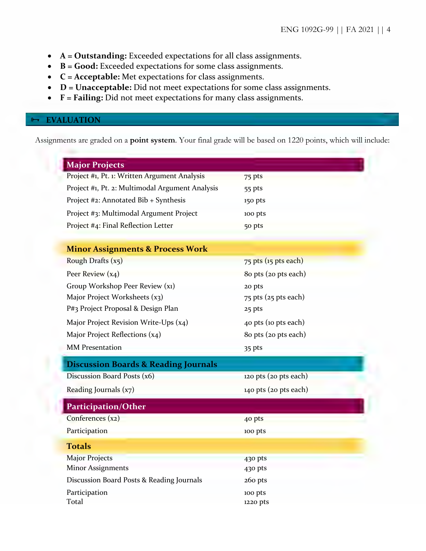- **A = Outstanding:** Exceeded expectations for all class assignments.
- **B = Good:** Exceeded expectations for some class assignments.
- **C = Acceptable:** Met expectations for class assignments.
- **D = Unacceptable:** Did not meet expectations for some class assignments.
- **F = Failing:** Did not meet expectations for many class assignments.

#### **& EVALUATION**

Ñ

Assignments are graded on a **point system**. Your final grade will be based on 1220 points, which will include:

| <b>Major Projects</b>                           |                          |
|-------------------------------------------------|--------------------------|
| Project #1, Pt. 1: Written Argument Analysis    | 75 pts                   |
| Project #1, Pt. 2: Multimodal Argument Analysis | 55 pts                   |
| Project #2: Annotated Bib + Synthesis           | 150 pts                  |
| Project #3: Multimodal Argument Project         | 100 pts                  |
| Project #4: Final Reflection Letter             | 50 pts                   |
|                                                 |                          |
| <b>Minor Assignments &amp; Process Work</b>     |                          |
| Rough Drafts (x5)                               | $75$ pts $(15$ pts each) |
| Peer Review (x4)                                | 80 pts (20 pts each)     |
| Group Workshop Peer Review (x1)                 | 20 pts                   |
| Major Project Worksheets (x3)                   | $75$ pts $(25$ pts each) |
| P#3 Project Proposal & Design Plan              | 25 pts                   |
| Major Project Revision Write-Ups (x4)           | 40 pts (10 pts each)     |
| Major Project Reflections (x4)                  | 80 pts (20 pts each)     |
| <b>MM</b> Presentation                          | 35 pts                   |
| <b>Discussion Boards &amp; Reading Journals</b> |                          |
| Discussion Board Posts (x6)                     | 120 pts (20 pts each)    |
| Reading Journals $(x7)$                         | 140 pts (20 pts each)    |
| <b>Participation/Other</b>                      |                          |
| Conferences (x2)                                | 40 pts                   |
| Participation                                   | 100 pts                  |
| <b>Totals</b>                                   |                          |
| <b>Major Projects</b>                           | 430 pts                  |
| <b>Minor Assignments</b>                        | 430 pts                  |
| Discussion Board Posts & Reading Journals       | 260 pts                  |
| Participation                                   | 100 pts                  |
| Total                                           | 1220 pts                 |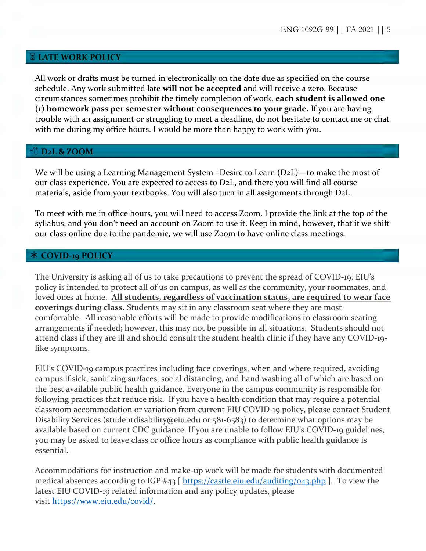#### **8 LATE WORK POLICY**

All work or drafts must be turned in electronically on the date due as specified on the course schedule. Any work submitted late **will not be accepted** and will receive a zero. Because circumstances sometimes prohibit the timely completion of work, **each student is allowed one (1) homework pass per semester without consequences to your grade.** If you are having trouble with an assignment or struggling to meet a deadline, do not hesitate to contact me or chat with me during my office hours. I would be more than happy to work with you.

#### 8 **D2L & ZOOM**

We will be using a Learning Management System –Desire to Learn (D2L)—to make the most of our class experience. You are expected to access to D2L, and there you will find all course materials, aside from your textbooks. You will also turn in all assignments through D2L.

To meet with me in office hours, you will need to access Zoom. I provide the link at the top of the syllabus, and you don't need an account on Zoom to use it. Keep in mind, however, that if we shift our class online due to the pandemic, we will use Zoom to have online class meetings.

#### Û **COVID-19 POLICY**

The University is asking all of us to take precautions to prevent the spread of COVID-19. EIU's policy is intended to protect all of us on campus, as well as the community, your roommates, and loved ones at home. **All students, regardless of vaccination status, are required to wear face coverings during class.** Students may sit in any classroom seat where they are most comfortable. All reasonable efforts will be made to provide modifications to classroom seating arrangements if needed; however, this may not be possible in all situations. Students should not attend class if they are ill and should consult the student health clinic if they have any COVID-19 like symptoms.

EIU's COVID-19 campus practices including face coverings, when and where required, avoiding campus if sick, sanitizing surfaces, social distancing, and hand washing all of which are based on the best available public health guidance. Everyone in the campus community is responsible for following practices that reduce risk. If you have a health condition that may require a potential classroom accommodation or variation from current EIU COVID-19 policy, please contact Student Disability Services (studentdisability@eiu.edu or  $581-6583$ ) to determine what options may be available based on current CDC guidance. If you are unable to follow EIU's COVID-19 guidelines, you may be asked to leave class or office hours as compliance with public health guidance is essential.

Accommodations for instruction and make-up work will be made for students with documented medical absences according to IGP #43  $[$  https://castle.eiu.edu/auditing/043.php  $]$ . To view the latest EIU COVID-19 related information and any policy updates, please visit https://www.eiu.edu/covid/.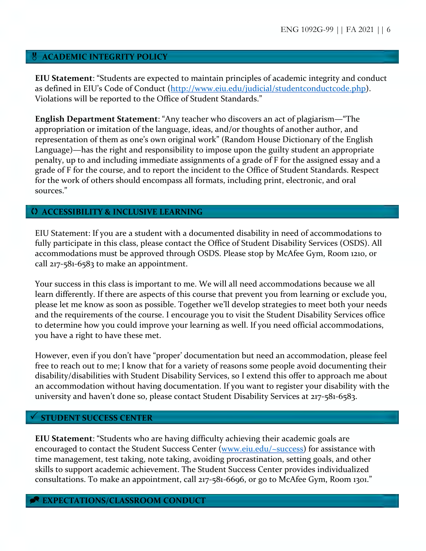## & **ACADEMIC INTEGRITY POLICY**

**EIU Statement**: "Students are expected to maintain principles of academic integrity and conduct as defined in EIU's Code of Conduct (http://www.eiu.edu/judicial/studentconductcode.php). Violations will be reported to the Office of Student Standards."

**English Department Statement**: "Any teacher who discovers an act of plagiarism—"The appropriation or imitation of the language, ideas, and/or thoughts of another author, and representation of them as one's own original work" (Random House Dictionary of the English Language)—has the right and responsibility to impose upon the guilty student an appropriate penalty, up to and including immediate assignments of a grade of F for the assigned essay and a grade of F for the course, and to report the incident to the Office of Student Standards. Respect for the work of others should encompass all formats, including print, electronic, and oral sources."

#### q **ACCESSIBILITY & INCLUSIVE LEARNING**

EIU Statement: If you are a student with a documented disability in need of accommodations to fully participate in this class, please contact the Office of Student Disability Services (OSDS). All accommodations must be approved through OSDS. Please stop by McAfee Gym, Room 1210, or call 217-581-6583 to make an appointment.

Your success in this class is important to me. We will all need accommodations because we all learn differently. If there are aspects of this course that prevent you from learning or exclude you, please let me know as soon as possible. Together we'll develop strategies to meet both your needs and the requirements of the course. I encourage you to visit the Student Disability Services office to determine how you could improve your learning as well. If you need official accommodations, you have a right to have these met.

However, even if you don't have "proper' documentation but need an accommodation, please feel free to reach out to me; I know that for a variety of reasons some people avoid documenting their disability/disabilities with Student Disability Services, so I extend this offer to approach me about an accommodation without having documentation. If you want to register your disability with the university and haven't done so, please contact Student Disability Services at 217-581-6583.

#### **STUDENT SUCCESS CENTER**

**EIU Statement**: "Students who are having difficulty achieving their academic goals are encouraged to contact the Student Success Center (www.eiu.edu/~success) for assistance with time management, test taking, note taking, avoiding procrastination, setting goals, and other skills to support academic achievement. The Student Success Center provides individualized consultations. To make an appointment, call 217-581-6696, or go to McAfee Gym, Room 1301."

#### ^ **EXPECTATIONS/CLASSROOM CONDUCT**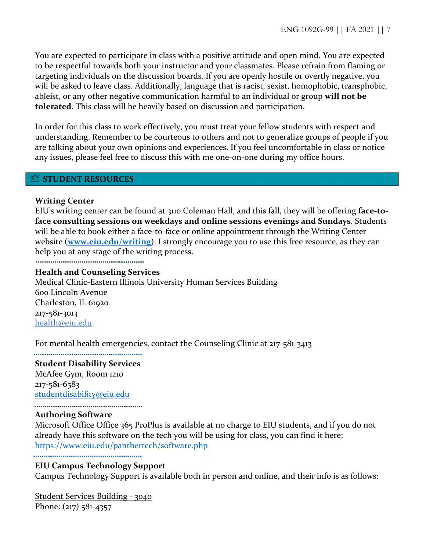You are expected to participate in class with a positive attitude and open mind. You are expected to be respectful towards both your instructor and your classmates. Please refrain from flaming or targeting individuals on the discussion boards. If you are openly hostile or overtly negative, you will be asked to leave class. Additionally, language that is racist, sexist, homophobic, transphobic, ableist, or any other negative communication harmful to an individual or group **will not be tolerated**. This class will be heavily based on discussion and participation.

In order for this class to work effectively, you must treat your fellow students with respect and understanding. Remember to be courteous to others and not to generalize groups of people if you are talking about your own opinions and experiences. If you feel uncomfortable in class or notice any issues, please feel free to discuss this with me one-on-one during my office hours.

## $\blacksquare$  STUDENT RESOURCES

## **Writing Center**

EIU's writing center can be found at 3110 Coleman Hall, and this fall, they will be offering **face-toface consulting sessions on weekdays and online sessions evenings and Sundays**. Students will be able to book either a face-to-face or online appointment through the Writing Center website (**www.eiu.edu/writing**). I strongly encourage you to use this free resource, as they can help you at any stage of the writing process.

**Health and Counseling Services**  Medical Clinic-Eastern Illinois University Human Services Building 600 Lincoln Avenue Charleston, IL 61920 217-581-3013 health@eiu.edu

For mental health emergencies, contact the Counseling Clinic at 217-581-3413

**Student Disability Services**  McAfee Gym, Room 1210 217-581-6583 studentdisability@eiu.edu

## **Authoring Software**

Microsoft Office Office 365 ProPlus is available at no charge to EIU students, and if you do not already have this software on the tech you will be using for class, you can find it here: https://www.eiu.edu/panthertech/software.php

## **EIU Campus Technology Support**

Campus Technology Support is available both in person and online, and their info is as follows:

Student Services Building - 3040 Phone: (217) 581-4357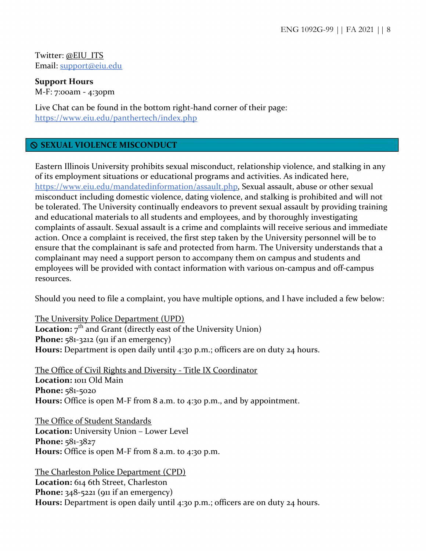Twitter: @EIU\_ITS Email: support@eiu.edu

**Support Hours** M-F: 7:00am - 4:30pm

Live Chat can be found in the bottom right-hand corner of their page: https://www.eiu.edu/panthertech/index.php

# x **SEXUAL VIOLENCE MISCONDUCT**

Eastern Illinois University prohibits sexual misconduct, relationship violence, and stalking in any of its employment situations or educational programs and activities. As indicated here, https://www.eiu.edu/mandatedinformation/assault.php, Sexual assault, abuse or other sexual misconduct including domestic violence, dating violence, and stalking is prohibited and will not be tolerated. The University continually endeavors to prevent sexual assault by providing training and educational materials to all students and employees, and by thoroughly investigating complaints of assault. Sexual assault is a crime and complaints will receive serious and immediate action. Once a complaint is received, the first step taken by the University personnel will be to ensure that the complainant is safe and protected from harm. The University understands that a complainant may need a support person to accompany them on campus and students and employees will be provided with contact information with various on-campus and off-campus resources.

Should you need to file a complaint, you have multiple options, and I have included a few below:

The University Police Department (UPD) **Location:**  $7^{\text{th}}$  and Grant (directly east of the University Union) Phone: 581-3212 (911 if an emergency) **Hours:** Department is open daily until 4:30 p.m.; officers are on duty 24 hours.

The Office of Civil Rights and Diversity - Title IX Coordinator **Location:** 1011 Old Main **Phone:** 581-5020 **Hours:** Office is open M-F from 8 a.m. to 4:30 p.m., and by appointment.

The Office of Student Standards **Location:** University Union – Lower Level **Phone:** 581-3827 **Hours:** Office is open M-F from 8 a.m. to 4:30 p.m.

The Charleston Police Department (CPD) **Location:** 614 6th Street, Charleston **Phone:** 348-5221 (911 if an emergency) **Hours:** Department is open daily until 4:30 p.m.; officers are on duty 24 hours.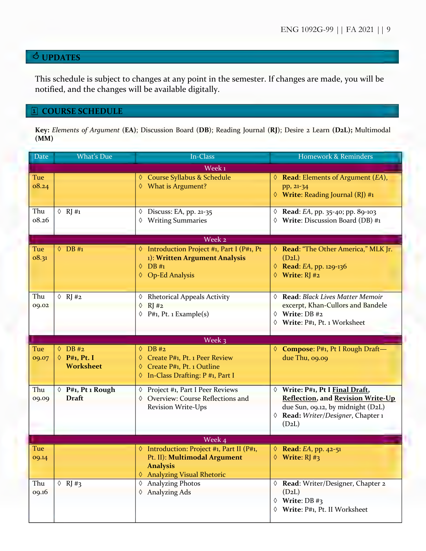# < **UPDATES**

This schedule is subject to changes at any point in the semester. If changes are made, you will be notified, and the changes will be available digitally.

# **T COURSE SCHEDULE**

**Key:** *Elements of Argument* (**EA)**; Discussion Board (**DB**); Reading Journal (**RJ**); Desire 2 Learn **(D2L);** Multimodal **(MM)**

| Date         | <b>What's Due</b>                                             | In-Class                                                                                                                            | Homework & Reminders                                                                                                                                           |  |  |
|--------------|---------------------------------------------------------------|-------------------------------------------------------------------------------------------------------------------------------------|----------------------------------------------------------------------------------------------------------------------------------------------------------------|--|--|
|              | Week <sub>1</sub>                                             |                                                                                                                                     |                                                                                                                                                                |  |  |
| Tue<br>08.24 |                                                               | <b>Course Syllabus &amp; Schedule</b><br>♦<br>What is Argument?<br>♦                                                                | $\Diamond$ <b>Read:</b> Elements of Argument ( <i>EA</i> ),<br>pp, 21-34<br>$\lozenge$ Write: Reading Journal (RJ) #1                                          |  |  |
| Thu<br>08.26 | $\lozenge$ RJ #1                                              | Discuss: EA, pp. 21-35<br>♦<br><b>Writing Summaries</b><br>♦                                                                        | <b>Read</b> : <i>EA</i> , pp. 35-40; pp. 89-103<br>♦<br>Write: Discussion Board (DB) #1                                                                        |  |  |
|              |                                                               | Week 2                                                                                                                              |                                                                                                                                                                |  |  |
| Tue<br>08.31 | $\lozenge$ DB #1                                              | Introduction Project #1, Part I (P#1, Pt<br>1): Written Argument Analysis<br>DB#1<br>♦<br><b>Op-Ed Analysis</b><br>♦                | ♦ Read: "The Other America," MLK Jr.<br>$(D_2L)$<br>↑ Read: EA, pp. 129-136<br>Write: RJ #2                                                                    |  |  |
| Thu<br>09.02 | $\Diamond$ RJ #2                                              | <b>Rhetorical Appeals Activity</b><br>♦<br>$\Diamond$<br>RJ#2<br>$P#1$ , Pt. 1 Example(s)<br>♦                                      | Read: Black Lives Matter Memoir<br>♦<br>excerpt, Khan-Cullors and Bandele<br>Write: DB #2<br>♦<br>Write: P#1, Pt. 1 Worksheet                                  |  |  |
|              |                                                               | Week 3                                                                                                                              |                                                                                                                                                                |  |  |
| Tue<br>09.07 | $\lozenge$ DB #2<br>$\lozenge$ P#1, Pt. I<br><b>Worksheet</b> | DB#2<br>♦<br>Create P#1, Pt. 1 Peer Review<br>♦<br>Create P#1, Pt. 1 Outline<br>♦<br>In-Class Drafting: P #1, Part I                | Compose: P#1, Pt I Rough Draft-<br>♦<br>due Thu, 09.09                                                                                                         |  |  |
| Thu<br>09.09 | P#1, Pt 1 Rough<br><b>Draft</b>                               | Project #1, Part I Peer Reviews<br>♦<br>Overview: Course Reflections and<br>♦<br><b>Revision Write-Ups</b>                          | ♦ Write: P#1, Pt I Final Draft,<br>Reflection, and Revision Write-Up<br>due Sun, 09.12, by midnight (D2L)<br>Read: Writer/Designer, Chapter 1<br>♦<br>$(D_2L)$ |  |  |
| Week 4       |                                                               |                                                                                                                                     |                                                                                                                                                                |  |  |
| Tue<br>09.14 |                                                               | Introduction: Project #1, Part II (P#1,<br>Pt. II): Multimodal Argument<br><b>Analysis</b><br><b>Analyzing Visual Rhetoric</b><br>♦ | <b>Read:</b> <i>EA</i> , pp. 42-51<br>Write: $\overline{R}$ #3<br>♦                                                                                            |  |  |
| Thu<br>09.16 | $\sqrt{RJ}/73$                                                | ♦ Analyzing Photos<br>♦ Analyzing Ads                                                                                               | Read: Writer/Designer, Chapter 2<br>♦<br>$(D_2L)$<br>$\Diamond$ Write: DB #3<br>Write: P#1, Pt. II Worksheet                                                   |  |  |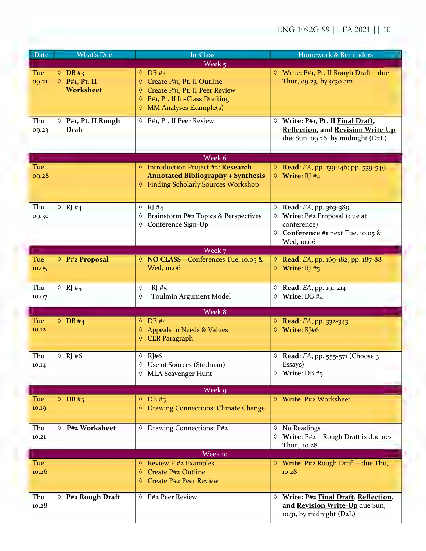| <b>Date</b>  | What's Due                                                     | In-Class                                                                                                                                                               | Homework & Reminders                                                                                                           |  |  |
|--------------|----------------------------------------------------------------|------------------------------------------------------------------------------------------------------------------------------------------------------------------------|--------------------------------------------------------------------------------------------------------------------------------|--|--|
|              | Week 5                                                         |                                                                                                                                                                        |                                                                                                                                |  |  |
| Tue<br>09.21 | $\lozenge$ DB #3<br>$\lozenge$ P#1, Pt. II<br><b>Worksheet</b> | $\lozenge$ DB #3<br>Create P#1, Pt. II Outline<br>♦<br>Create P#1, Pt. II Peer Review<br>♦<br>P#1, Pt. II In-Class Drafting<br>♦<br><b>MM Analyses Example(s)</b><br>♦ | ♦ Write: P#1, Pt. II Rough Draft-due<br>Thur, 09.23, by 9:30 am                                                                |  |  |
| Thu<br>09.23 | P#1, Pt. II Rough<br><b>Draft</b>                              | ♦ P#1, Pt. II Peer Review                                                                                                                                              | Write: P#1, Pt. II Final Draft,<br>$\Diamond$<br><b>Reflection, and Revision Write-Up</b><br>due Sun, 09.26, by midnight (D2L) |  |  |
|              |                                                                | Week 6                                                                                                                                                                 |                                                                                                                                |  |  |
| Tue<br>09.28 |                                                                | ♦ Introduction Project #2: Research<br><b>Annotated Bibliography + Synthesis</b><br><b>Finding Scholarly Sources Workshop</b><br>♦                                     | Read: EA, pp. 139-146; pp. 539-549<br>Write: $RI#4$<br>♦                                                                       |  |  |
| Thu<br>09.30 | $\lozenge$ RJ #4                                               | $\lozenge$ RJ #4<br>Brainstorm P#2 Topics & Perspectives<br>♦<br>Conference Sign-Up                                                                                    | ♦ Read: EA, pp. 363-389<br>Write: P#2 Proposal (due at<br>conference)<br>♦ Conference #1 next Tue, 10.05 &<br>Wed, 10.06       |  |  |
|              |                                                                | Week 7                                                                                                                                                                 |                                                                                                                                |  |  |
| Tue<br>10.05 | $\lozenge$ P#2 Proposal                                        | ↑ NO CLASS-Conferences Tue, 10.05 &<br>Wed, 10.06                                                                                                                      | <b>Read</b> : <i>EA</i> , pp. 169-182; pp. 187-88<br>$\lozenge$ Write: RJ #5                                                   |  |  |
| Thu<br>10.07 | $\sqrt{RJ}/75$                                                 | $\Diamond$<br>RJ#5<br>Toulmin Argument Model<br>♦                                                                                                                      | $\Diamond$ Read: EA, pp. 191-214<br>Write: $DB \#4$                                                                            |  |  |
|              |                                                                | Week 8                                                                                                                                                                 |                                                                                                                                |  |  |
| Tue<br>10.12 | $\lozenge$ DB #4                                               | DB#4<br>♦<br><b>Appeals to Needs &amp; Values</b><br><b>CER Paragraph</b>                                                                                              | Read: EA, pp. 332-343<br>Write: RJ#6<br>♦                                                                                      |  |  |
| Thu<br>10.14 | $\lozenge$ RJ #6                                               | $\lozenge$ RJ#6<br>♦<br>Use of Sources (Stedman)<br><b>MLA Scavenger Hunt</b><br>♦                                                                                     | $\Diamond$ Read: <i>EA</i> , pp. 555-571 (Choose 3)<br>Essays)<br>$\lozenge$ Write: DB #5                                      |  |  |
| Week 9       |                                                                |                                                                                                                                                                        |                                                                                                                                |  |  |
| Tue<br>10.19 | $\lozenge$ DB #5                                               | DB#5<br>♦<br><b>Drawing Connections: Climate Change</b>                                                                                                                | Write: P#2 Worksheet                                                                                                           |  |  |
| Thu<br>10.21 | P#2 Worksheet<br>♦                                             | ♦ Drawing Connections: P#2                                                                                                                                             | ♦ No Readings<br>Write: P#2—Rough Draft is due next<br>Thur., 10.28                                                            |  |  |
|              |                                                                | Week 10                                                                                                                                                                |                                                                                                                                |  |  |
| Tue<br>10.26 |                                                                | <b>Review P #2 Examples</b><br>♦<br><b>Create P#2 Outline</b><br>♦<br><b>Create P#2 Peer Review</b><br>♦                                                               | ♦ Write: P#2 Rough Draft—due Thu,<br>10.28                                                                                     |  |  |
| Thu<br>10.28 | $\Diamond$ P#2 Rough Draft                                     | ♦ P#2 Peer Review                                                                                                                                                      | Write: P#2 Final Draft, Reflection,<br>♦<br>and Revision Write-Up due Sun,<br>10.31, by midnight (D2L)                         |  |  |